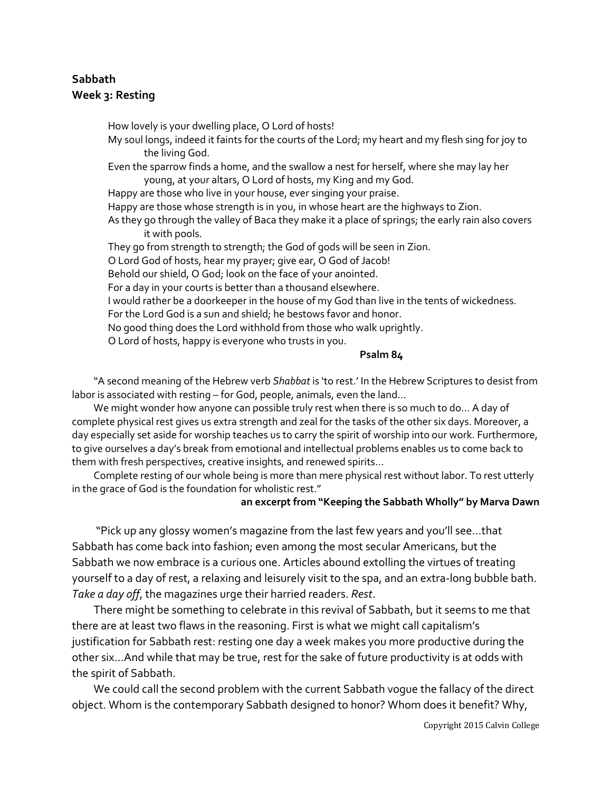# **Sabbath Week 3: Resting**

How lovely is your dwelling place, O Lord of hosts! My soul longs, indeed it faints for the courts of the Lord; my heart and my flesh sing for joy to the living God. Even the sparrow finds a home, and the swallow a nest for herself, where she may lay her young, at your altars, O Lord of hosts, my King and my God. Happy are those who live in your house, ever singing your praise. Happy are those whose strength is in you, in whose heart are the highways to Zion. As they go through the valley of Baca they make it a place of springs; the early rain also covers it with pools. They go from strength to strength; the God of gods will be seen in Zion. O Lord God of hosts, hear my prayer; give ear, O God of Jacob! Behold our shield, O God; look on the face of your anointed. For a day in your courts is better than a thousand elsewhere. I would rather be a doorkeeper in the house of my God than live in the tents of wickedness. For the Lord God is a sun and shield; he bestows favor and honor. No good thing does the Lord withhold from those who walk uprightly. O Lord of hosts, happy is everyone who trusts in you.

**Psalm 84**

"A second meaning of the Hebrew verb *Shabbat* is 'to rest.' In the Hebrew Scriptures to desist from labor is associated with resting – for God, people, animals, even the land…

We might wonder how anyone can possible truly rest when there is so much to do… A day of complete physical rest gives us extra strength and zeal for the tasks of the other six days. Moreover, a day especially set aside for worship teaches us to carry the spirit of worship into our work. Furthermore, to give ourselves a day's break from emotional and intellectual problems enables us to come back to them with fresh perspectives, creative insights, and renewed spirits…

Complete resting of our whole being is more than mere physical rest without labor. To rest utterly in the grace of God is the foundation for wholistic rest."

#### **an excerpt from "Keeping the Sabbath Wholly" by Marva Dawn**

"Pick up any glossy women's magazine from the last few years and you'll see…that Sabbath has come back into fashion; even among the most secular Americans, but the Sabbath we now embrace is a curious one. Articles abound extolling the virtues of treating yourself to a day of rest, a relaxing and leisurely visit to the spa, and an extra-long bubble bath. *Take a day off*, the magazines urge their harried readers. *Rest*.

There might be something to celebrate in this revival of Sabbath, but it seems to me that there are at least two flaws in the reasoning. First is what we might call capitalism's justification for Sabbath rest: resting one day a week makes you more productive during the other six…And while that may be true, rest for the sake of future productivity is at odds with the spirit of Sabbath.

We could call the second problem with the current Sabbath vogue the fallacy of the direct object. Whom is the contemporary Sabbath designed to honor? Whom does it benefit? Why,